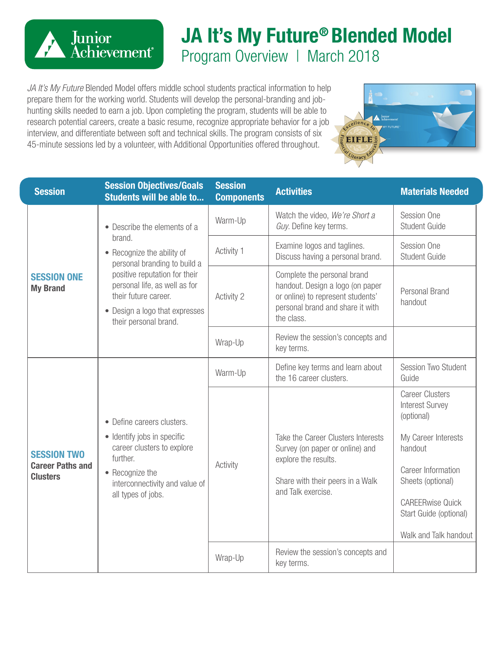

## **JA It's My Future® Blended Model** Program Overview | March 2018

**EIFLE** 

*JA It's My Future* Blended Model offers middle school students practical information to help prepare them for the working world. Students will develop the personal-branding and jobhunting skills needed to earn a job. Upon completing the program, students will be able to research potential careers, create a basic resume, recognize appropriate behavior for a job interview, and differentiate between soft and technical skills. The program consists of six 45-minute sessions led by a volunteer, with Additional Opportunities offered throughout.

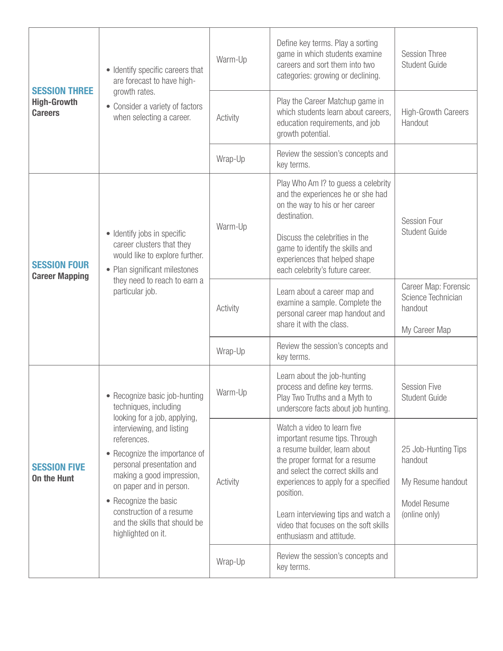| <b>SESSION THREE</b><br><b>High-Growth</b><br><b>Careers</b> | • Identify specific careers that<br>are forecast to have high-<br>growth rates.<br>• Consider a variety of factors<br>when selecting a career.                                                                                                                                                                                                                       | Warm-Up  | Define key terms. Play a sorting<br>game in which students examine<br>careers and sort them into two<br>categories: growing or declining.                                                                                                                                                                                              | <b>Session Three</b><br>Student Guide                                                |
|--------------------------------------------------------------|----------------------------------------------------------------------------------------------------------------------------------------------------------------------------------------------------------------------------------------------------------------------------------------------------------------------------------------------------------------------|----------|----------------------------------------------------------------------------------------------------------------------------------------------------------------------------------------------------------------------------------------------------------------------------------------------------------------------------------------|--------------------------------------------------------------------------------------|
|                                                              |                                                                                                                                                                                                                                                                                                                                                                      | Activity | Play the Career Matchup game in<br>which students learn about careers,<br>education requirements, and job<br>growth potential.                                                                                                                                                                                                         | <b>High-Growth Careers</b><br>Handout                                                |
|                                                              |                                                                                                                                                                                                                                                                                                                                                                      | Wrap-Up  | Review the session's concepts and<br>key terms.                                                                                                                                                                                                                                                                                        |                                                                                      |
| <b>SESSION FOUR</b><br><b>Career Mapping</b>                 | • Identify jobs in specific<br>career clusters that they<br>would like to explore further.<br>• Plan significant milestones<br>they need to reach to earn a<br>particular job.                                                                                                                                                                                       | Warm-Up  | Play Who Am I? to guess a celebrity<br>and the experiences he or she had<br>on the way to his or her career<br>destination.<br>Discuss the celebrities in the<br>game to identify the skills and<br>experiences that helped shape<br>each celebrity's future career.                                                                   | <b>Session Four</b><br>Student Guide                                                 |
|                                                              |                                                                                                                                                                                                                                                                                                                                                                      | Activity | Learn about a career map and<br>examine a sample. Complete the<br>personal career map handout and<br>share it with the class.                                                                                                                                                                                                          | Career Map: Forensic<br>Science Technician<br>handout<br>My Career Map               |
|                                                              |                                                                                                                                                                                                                                                                                                                                                                      | Wrap-Up  | Review the session's concepts and<br>key terms.                                                                                                                                                                                                                                                                                        |                                                                                      |
| <b>SESSION FIVE</b><br><b>On the Hunt</b>                    | • Recognize basic job-hunting<br>techniques, including<br>looking for a job, applying,<br>interviewing, and listing<br>references.<br>• Recognize the importance of<br>personal presentation and<br>making a good impression,<br>on paper and in person.<br>• Recognize the basic<br>construction of a resume<br>and the skills that should be<br>highlighted on it. | Warm-Up  | Learn about the job-hunting<br>process and define key terms.<br>Play Two Truths and a Myth to<br>underscore facts about job hunting.                                                                                                                                                                                                   | <b>Session Five</b><br>Student Guide                                                 |
|                                                              |                                                                                                                                                                                                                                                                                                                                                                      | Activity | Watch a video to learn five<br>important resume tips. Through<br>a resume builder, learn about<br>the proper format for a resume<br>and select the correct skills and<br>experiences to apply for a specified<br>position.<br>Learn interviewing tips and watch a<br>video that focuses on the soft skills<br>enthusiasm and attitude. | 25 Job-Hunting Tips<br>handout<br>My Resume handout<br>Model Resume<br>(online only) |
|                                                              |                                                                                                                                                                                                                                                                                                                                                                      | Wrap-Up  | Review the session's concepts and<br>key terms.                                                                                                                                                                                                                                                                                        |                                                                                      |